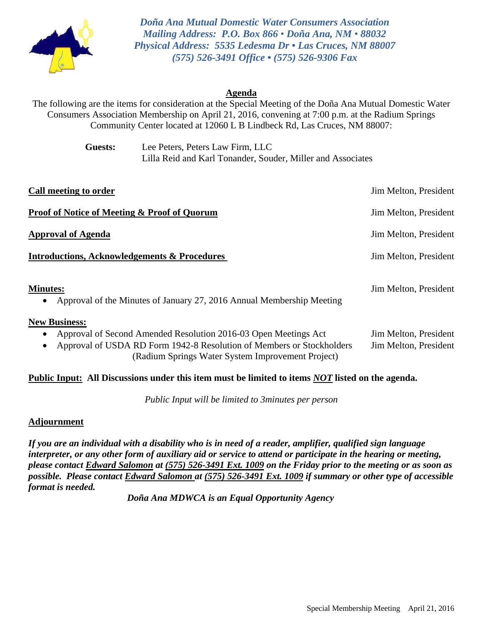

*Doña Ana Mutual Domestic Water Consumers Association Mailing Address: P.O. Box 866 • Doña Ana, NM • 88032 Physical Address: 5535 Ledesma Dr • Las Cruces, NM 88007 (575) 526-3491 Office • (575) 526-9306 Fax*

## **Agenda**

The following are the items for consideration at the Special Meeting of the Doña Ana Mutual Domestic Water Consumers Association Membership on April 21, 2016, convening at 7:00 p.m. at the Radium Springs Community Center located at 12060 L B Lindbeck Rd, Las Cruces, NM 88007:

> **Guests:** Lee Peters, Peters Law Firm, LLC Lilla Reid and Karl Tonander, Souder, Miller and Associates

| Call meeting to order                                                                                                                                                                                                                           | Jim Melton, President                          |
|-------------------------------------------------------------------------------------------------------------------------------------------------------------------------------------------------------------------------------------------------|------------------------------------------------|
| Proof of Notice of Meeting & Proof of Quorum                                                                                                                                                                                                    | Jim Melton, President                          |
| Approval of Agenda                                                                                                                                                                                                                              | Jim Melton, President                          |
| <b>Introductions, Acknowledgements &amp; Procedures</b>                                                                                                                                                                                         | Jim Melton, President                          |
| <b>Minutes:</b><br>Approval of the Minutes of January 27, 2016 Annual Membership Meeting                                                                                                                                                        | Jim Melton, President                          |
| <b>New Business:</b><br>Approval of Second Amended Resolution 2016-03 Open Meetings Act<br>$\bullet$<br>Approval of USDA RD Form 1942-8 Resolution of Members or Stockholders<br>$\bullet$<br>(Radium Springs Water System Improvement Project) | Jim Melton, President<br>Jim Melton, President |

#### **Public Input: All Discussions under this item must be limited to items** *NOT* **listed on the agenda.**

*Public Input will be limited to 3minutes per person* 

#### **Adjournment**

*If you are an individual with a disability who is in need of a reader, amplifier, qualified sign language interpreter, or any other form of auxiliary aid or service to attend or participate in the hearing or meeting, please contact Edward Salomon at (575) 526-3491 Ext. 1009 on the Friday prior to the meeting or as soon as possible. Please contact Edward Salomon at (575) 526-3491 Ext. 1009 if summary or other type of accessible format is needed.* 

*Doña Ana MDWCA is an Equal Opportunity Agency*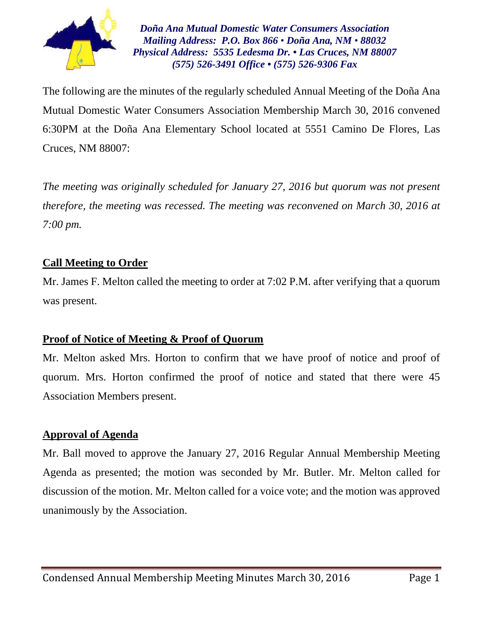

*Doña Ana Mutual Domestic Water Consumers Association Mailing Address: P.O. Box 866 • Doña Ana, NM • 88032 Physical Address: 5535 Ledesma Dr. • Las Cruces, NM 88007 (575) 526-3491 Office • (575) 526-9306 Fax*

The following are the minutes of the regularly scheduled Annual Meeting of the Doña Ana Mutual Domestic Water Consumers Association Membership March 30, 2016 convened 6:30PM at the Doña Ana Elementary School located at 5551 Camino De Flores, Las Cruces, NM 88007:

*The meeting was originally scheduled for January 27, 2016 but quorum was not present therefore, the meeting was recessed. The meeting was reconvened on March 30, 2016 at 7:00 pm.* 

# **Call Meeting to Order**

Mr. James F. Melton called the meeting to order at 7:02 P.M. after verifying that a quorum was present.

# **Proof of Notice of Meeting & Proof of Quorum**

Mr. Melton asked Mrs. Horton to confirm that we have proof of notice and proof of quorum. Mrs. Horton confirmed the proof of notice and stated that there were 45 Association Members present.

# **Approval of Agenda**

Mr. Ball moved to approve the January 27, 2016 Regular Annual Membership Meeting Agenda as presented; the motion was seconded by Mr. Butler. Mr. Melton called for discussion of the motion. Mr. Melton called for a voice vote; and the motion was approved unanimously by the Association.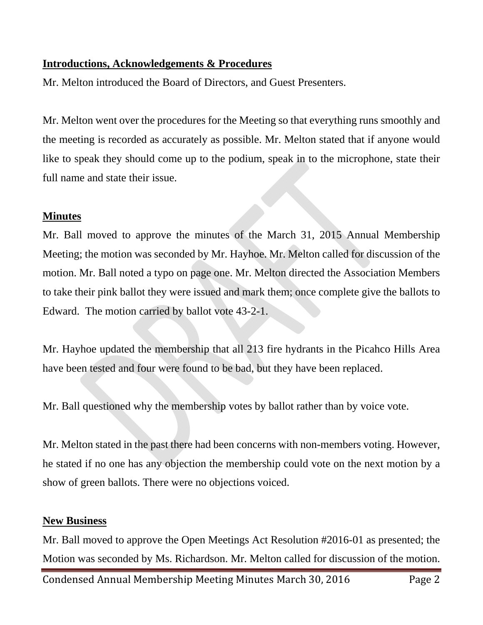# **Introductions, Acknowledgements & Procedures**

Mr. Melton introduced the Board of Directors, and Guest Presenters.

Mr. Melton went over the procedures for the Meeting so that everything runs smoothly and the meeting is recorded as accurately as possible. Mr. Melton stated that if anyone would like to speak they should come up to the podium, speak in to the microphone, state their full name and state their issue.

## **Minutes**

Mr. Ball moved to approve the minutes of the March 31, 2015 Annual Membership Meeting; the motion was seconded by Mr. Hayhoe. Mr. Melton called for discussion of the motion. Mr. Ball noted a typo on page one. Mr. Melton directed the Association Members to take their pink ballot they were issued and mark them; once complete give the ballots to Edward. The motion carried by ballot vote 43-2-1.

Mr. Hayhoe updated the membership that all 213 fire hydrants in the Picahco Hills Area have been tested and four were found to be bad, but they have been replaced.

Mr. Ball questioned why the membership votes by ballot rather than by voice vote.

Mr. Melton stated in the past there had been concerns with non-members voting. However, he stated if no one has any objection the membership could vote on the next motion by a show of green ballots. There were no objections voiced.

## **New Business**

Mr. Ball moved to approve the Open Meetings Act Resolution #2016-01 as presented; the Motion was seconded by Ms. Richardson. Mr. Melton called for discussion of the motion.

Condensed Annual Membership Meeting Minutes March 30, 2016 Page 2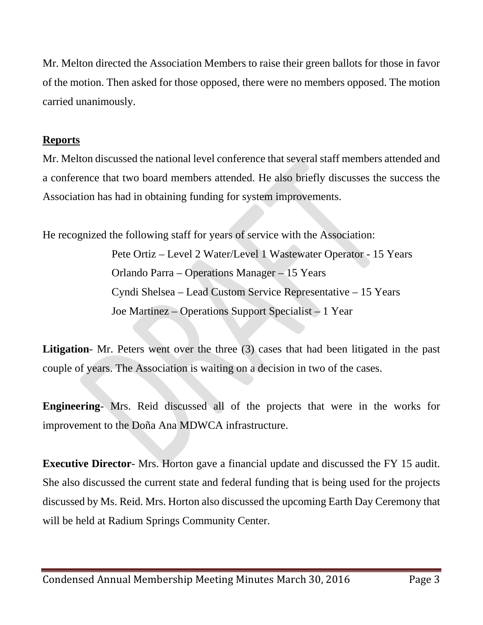Mr. Melton directed the Association Members to raise their green ballots for those in favor of the motion. Then asked for those opposed, there were no members opposed. The motion carried unanimously.

## **Reports**

Mr. Melton discussed the national level conference that several staff members attended and a conference that two board members attended. He also briefly discusses the success the Association has had in obtaining funding for system improvements.

He recognized the following staff for years of service with the Association:

 Pete Ortiz – Level 2 Water/Level 1 Wastewater Operator - 15 Years Orlando Parra – Operations Manager – 15 Years Cyndi Shelsea – Lead Custom Service Representative – 15 Years Joe Martinez – Operations Support Specialist – 1 Year

Litigation- Mr. Peters went over the three (3) cases that had been litigated in the past couple of years. The Association is waiting on a decision in two of the cases.

**Engineering**- Mrs. Reid discussed all of the projects that were in the works for improvement to the Doña Ana MDWCA infrastructure.

**Executive Director**- Mrs. Horton gave a financial update and discussed the FY 15 audit. She also discussed the current state and federal funding that is being used for the projects discussed by Ms. Reid. Mrs. Horton also discussed the upcoming Earth Day Ceremony that will be held at Radium Springs Community Center.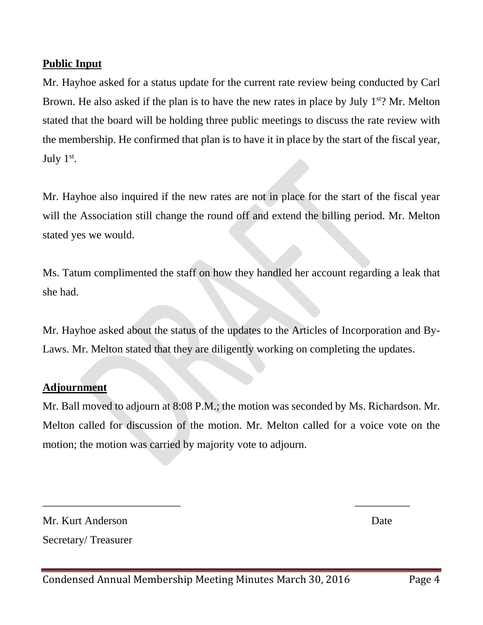# **Public Input**

Mr. Hayhoe asked for a status update for the current rate review being conducted by Carl Brown. He also asked if the plan is to have the new rates in place by July  $1<sup>st</sup>$ ? Mr. Melton stated that the board will be holding three public meetings to discuss the rate review with the membership. He confirmed that plan is to have it in place by the start of the fiscal year, July 1st.

Mr. Hayhoe also inquired if the new rates are not in place for the start of the fiscal year will the Association still change the round off and extend the billing period. Mr. Melton stated yes we would.

Ms. Tatum complimented the staff on how they handled her account regarding a leak that she had.

Mr. Hayhoe asked about the status of the updates to the Articles of Incorporation and By-Laws. Mr. Melton stated that they are diligently working on completing the updates.

## **Adjournment**

Mr. Ball moved to adjourn at 8:08 P.M.; the motion was seconded by Ms. Richardson. Mr. Melton called for discussion of the motion. Mr. Melton called for a voice vote on the motion; the motion was carried by majority vote to adjourn.

 $\frac{1}{2}$  ,  $\frac{1}{2}$  ,  $\frac{1}{2}$  ,  $\frac{1}{2}$  ,  $\frac{1}{2}$  ,  $\frac{1}{2}$  ,  $\frac{1}{2}$  ,  $\frac{1}{2}$  ,  $\frac{1}{2}$  ,  $\frac{1}{2}$  ,  $\frac{1}{2}$  ,  $\frac{1}{2}$  ,  $\frac{1}{2}$  ,  $\frac{1}{2}$  ,  $\frac{1}{2}$  ,  $\frac{1}{2}$  ,  $\frac{1}{2}$  ,  $\frac{1}{2}$  ,  $\frac{1$ 

Mr. Kurt Anderson Date

Secretary/ Treasurer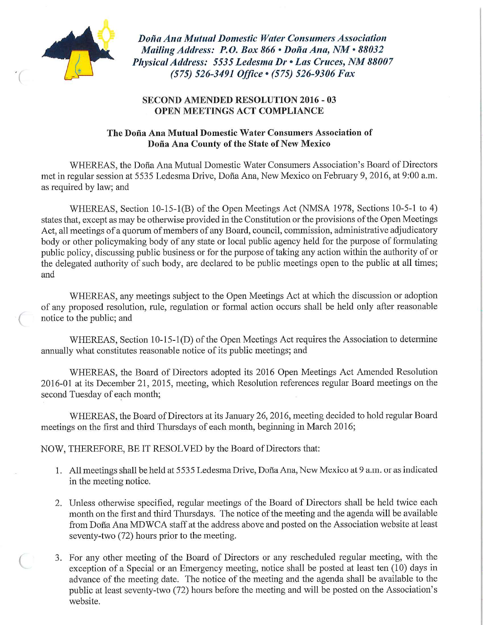

Doña Ana Mutual Domestic Water Consumers Association Mailing Address: P.O. Box 866 · Doña Ana, NM · 88032 Physical Address: 5535 Ledesma Dr · Las Cruces, NM 88007 (575) 526-3491 Office · (575) 526-9306 Fax

#### **SECOND AMENDED RESOLUTION 2016 - 03 OPEN MEETINGS ACT COMPLIANCE**

## The Doña Ana Mutual Domestic Water Consumers Association of Doña Ana County of the State of New Mexico

WHEREAS, the Doña Ana Mutual Domestic Water Consumers Association's Board of Directors met in regular session at 5535 Ledesma Drive, Doña Ana, New Mexico on February 9, 2016, at 9:00 a.m. as required by law; and

WHEREAS, Section 10-15-1(B) of the Open Meetings Act (NMSA 1978, Sections 10-5-1 to 4) states that, except as may be otherwise provided in the Constitution or the provisions of the Open Meetings Act, all meetings of a quorum of members of any Board, council, commission, administrative adjudicatory body or other policymaking body of any state or local public agency held for the purpose of formulating public policy, discussing public business or for the purpose of taking any action within the authority of or the delegated authority of such body, are declared to be public meetings open to the public at all times; and

WHEREAS, any meetings subject to the Open Meetings Act at which the discussion or adoption of any proposed resolution, rule, regulation or formal action occurs shall be held only after reasonable notice to the public; and

WHEREAS, Section 10-15-1(D) of the Open Meetings Act requires the Association to determine annually what constitutes reasonable notice of its public meetings; and

WHEREAS, the Board of Directors adopted its 2016 Open Meetings Act Amended Resolution 2016-01 at its December 21, 2015, meeting, which Resolution references regular Board meetings on the second Tuesday of each month;

WHEREAS, the Board of Directors at its January 26, 2016, meeting decided to hold regular Board meetings on the first and third Thursdays of each month, beginning in March 2016;

NOW, THEREFORE, BE IT RESOLVED by the Board of Directors that:

- 1. All meetings shall be held at 5535 Ledesma Drive, Doña Ana, New Mexico at 9 a.m. or as indicated in the meeting notice.
- 2. Unless otherwise specified, regular meetings of the Board of Directors shall be held twice each month on the first and third Thursdays. The notice of the meeting and the agenda will be available from Doña Ana MDWCA staff at the address above and posted on the Association website at least seventy-two (72) hours prior to the meeting.
- 3. For any other meeting of the Board of Directors or any rescheduled regular meeting, with the exception of a Special or an Emergency meeting, notice shall be posted at least ten (10) days in advance of the meeting date. The notice of the meeting and the agenda shall be available to the public at least seventy-two (72) hours before the meeting and will be posted on the Association's website.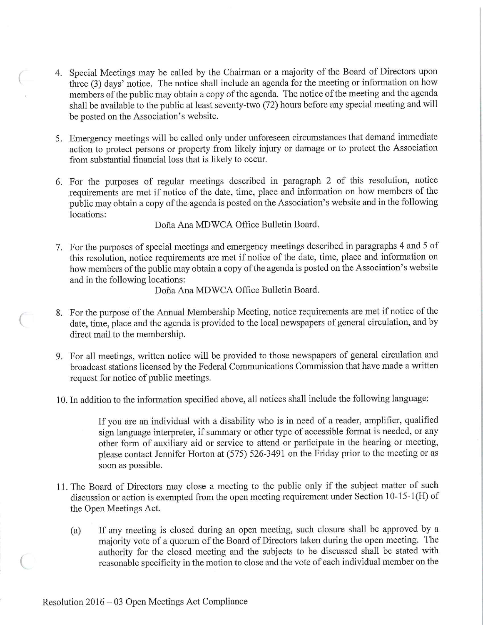- 4. Special Meetings may be called by the Chairman or a majority of the Board of Directors upon three (3) days' notice. The notice shall include an agenda for the meeting or information on how members of the public may obtain a copy of the agenda. The notice of the meeting and the agenda shall be available to the public at least seventy-two (72) hours before any special meeting and will be posted on the Association's website.
- 5. Emergency meetings will be called only under unforeseen circumstances that demand immediate action to protect persons or property from likely injury or damage or to protect the Association from substantial financial loss that is likely to occur.
- 6. For the purposes of regular meetings described in paragraph 2 of this resolution, notice requirements are met if notice of the date, time, place and information on how members of the public may obtain a copy of the agenda is posted on the Association's website and in the following locations:

Doña Ana MDWCA Office Bulletin Board.

7. For the purposes of special meetings and emergency meetings described in paragraphs 4 and 5 of this resolution, notice requirements are met if notice of the date, time, place and information on how members of the public may obtain a copy of the agenda is posted on the Association's website and in the following locations:

Doña Ana MDWCA Office Bulletin Board.

- 8. For the purpose of the Annual Membership Meeting, notice requirements are met if notice of the date, time, place and the agenda is provided to the local newspapers of general circulation, and by direct mail to the membership.
- 9. For all meetings, written notice will be provided to those newspapers of general circulation and broadcast stations licensed by the Federal Communications Commission that have made a written request for notice of public meetings.
- 10. In addition to the information specified above, all notices shall include the following language:

If you are an individual with a disability who is in need of a reader, amplifier, qualified sign language interpreter, if summary or other type of accessible format is needed, or any other form of auxiliary aid or service to attend or participate in the hearing or meeting, please contact Jennifer Horton at (575) 526-3491 on the Friday prior to the meeting or as soon as possible.

- 11. The Board of Directors may close a meeting to the public only if the subject matter of such discussion or action is exempted from the open meeting requirement under Section 10-15-1(H) of the Open Meetings Act.
	- If any meeting is closed during an open meeting, such closure shall be approved by a  $(a)$ majority vote of a quorum of the Board of Directors taken during the open meeting. The authority for the closed meeting and the subjects to be discussed shall be stated with reasonable specificity in the motion to close and the vote of each individual member on the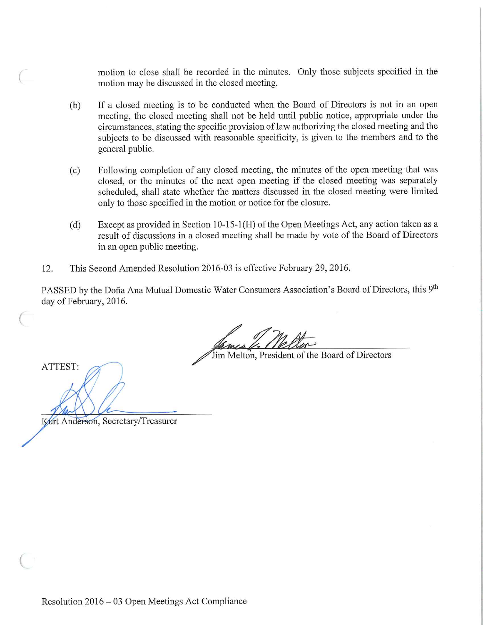motion to close shall be recorded in the minutes. Only those subjects specified in the motion may be discussed in the closed meeting.

- If a closed meeting is to be conducted when the Board of Directors is not in an open  $(b)$ meeting, the closed meeting shall not be held until public notice, appropriate under the circumstances, stating the specific provision of law authorizing the closed meeting and the subjects to be discussed with reasonable specificity, is given to the members and to the general public.
- Following completion of any closed meeting, the minutes of the open meeting that was  $(c)$ closed, or the minutes of the next open meeting if the closed meeting was separately scheduled, shall state whether the matters discussed in the closed meeting were limited only to those specified in the motion or notice for the closure.
- Except as provided in Section 10-15-1(H) of the Open Meetings Act, any action taken as a  $(d)$ result of discussions in a closed meeting shall be made by vote of the Board of Directors in an open public meeting.
- 12. This Second Amended Resolution 2016-03 is effective February 29, 2016.

PASSED by the Doña Ana Mutual Domestic Water Consumers Association's Board of Directors, this 9th day of February, 2016.

Jim Melton, President of the Board of Directors

ATTEST:

Kurt Anderson, Secretary/Treasurer